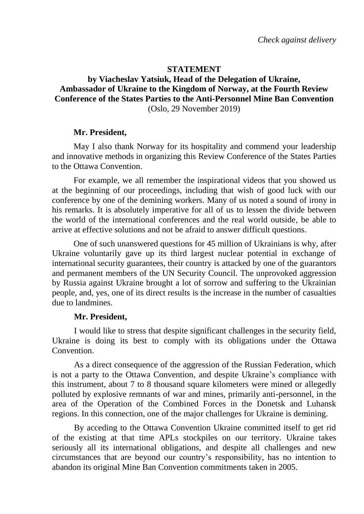## **STATEMENT**

# **by Viacheslav Yatsiuk, Head of the Delegation of Ukraine, Ambassador of Ukraine to the Kingdom of Norway, at the Fourth Review Conference of the States Parties to the Anti-Personnel Mine Ban Convention** (Oslo, 29 November 2019)

## **Mr. President,**

May I also thank Norway for its hospitality and commend your leadership and innovative methods in organizing this Review Conference of the States Parties to the Ottawa Convention.

For example, we all remember the inspirational videos that you showed us at the beginning of our proceedings, including that wish of good luck with our conference by one of the demining workers. Many of us noted a sound of irony in his remarks. It is absolutely imperative for all of us to lessen the divide between the world of the international conferences and the real world outside, be able to arrive at effective solutions and not be afraid to answer difficult questions.

One of such unanswered questions for 45 million of Ukrainians is why, after Ukraine voluntarily gave up its third largest nuclear potential in exchange of international security guarantees, their country is attacked by one of the guarantors and permanent members of the UN Security Council. The unprovoked aggression by Russia against Ukraine brought a lot of sorrow and suffering to the Ukrainian people, and, yes, one of its direct results is the increase in the number of casualties due to landmines.

#### **Mr. President,**

I would like to stress that despite significant challenges in the security field, Ukraine is doing its best to comply with its obligations under the Ottawa Convention.

As a direct consequence of the aggression of the Russian Federation, which is not a party to the Ottawa Convention, and despite Ukraine's compliance with this instrument, about 7 to 8 thousand square kilometers were mined or allegedly polluted by explosive remnants of war and mines, primarily anti-personnel, in the area of the Operation of the Combined Forces in the Donetsk and Luhansk regions. In this connection, one of the major challenges for Ukraine is demining.

By acceding to the Ottawa Convention Ukraine committed itself to get rid of the existing at that time APLs stockpiles on our territory. Ukraine takes seriously all its international obligations, and despite all challenges and new circumstances that are beyond our country's responsibility, has no intention to abandon its original Mine Ban Convention commitments taken in 2005.